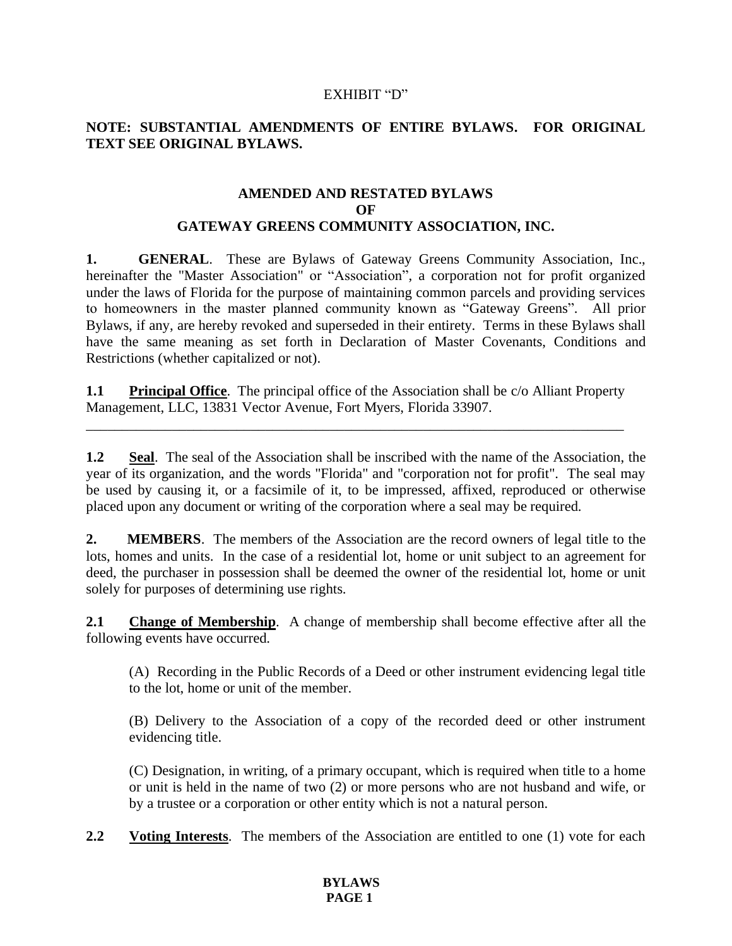#### EXHIBIT "D"

### **NOTE: SUBSTANTIAL AMENDMENTS OF ENTIRE BYLAWS. FOR ORIGINAL TEXT SEE ORIGINAL BYLAWS.**

#### **AMENDED AND RESTATED BYLAWS OF GATEWAY GREENS COMMUNITY ASSOCIATION, INC.**

**1. GENERAL**. These are Bylaws of Gateway Greens Community Association, Inc., hereinafter the "Master Association" or "Association", a corporation not for profit organized under the laws of Florida for the purpose of maintaining common parcels and providing services to homeowners in the master planned community known as "Gateway Greens". All prior Bylaws, if any, are hereby revoked and superseded in their entirety. Terms in these Bylaws shall have the same meaning as set forth in Declaration of Master Covenants, Conditions and Restrictions (whether capitalized or not).

**1.1 Principal Office**. The principal office of the Association shall be c/o Alliant Property Management, LLC, 13831 Vector Avenue, Fort Myers, Florida 33907.

\_\_\_\_\_\_\_\_\_\_\_\_\_\_\_\_\_\_\_\_\_\_\_\_\_\_\_\_\_\_\_\_\_\_\_\_\_\_\_\_\_\_\_\_\_\_\_\_\_\_\_\_\_\_\_\_\_\_\_\_\_\_\_\_\_\_\_\_\_\_\_\_\_\_\_

**1.2 Seal**. The seal of the Association shall be inscribed with the name of the Association, the year of its organization, and the words "Florida" and "corporation not for profit". The seal may be used by causing it, or a facsimile of it, to be impressed, affixed, reproduced or otherwise placed upon any document or writing of the corporation where a seal may be required.

**2. MEMBERS**. The members of the Association are the record owners of legal title to the lots, homes and units. In the case of a residential lot, home or unit subject to an agreement for deed, the purchaser in possession shall be deemed the owner of the residential lot, home or unit solely for purposes of determining use rights.

**2.1 Change of Membership**. A change of membership shall become effective after all the following events have occurred.

(A) Recording in the Public Records of a Deed or other instrument evidencing legal title to the lot, home or unit of the member.

(B) Delivery to the Association of a copy of the recorded deed or other instrument evidencing title.

(C) Designation, in writing, of a primary occupant, which is required when title to a home or unit is held in the name of two (2) or more persons who are not husband and wife, or by a trustee or a corporation or other entity which is not a natural person.

**2.2 Voting Interests**. The members of the Association are entitled to one (1) vote for each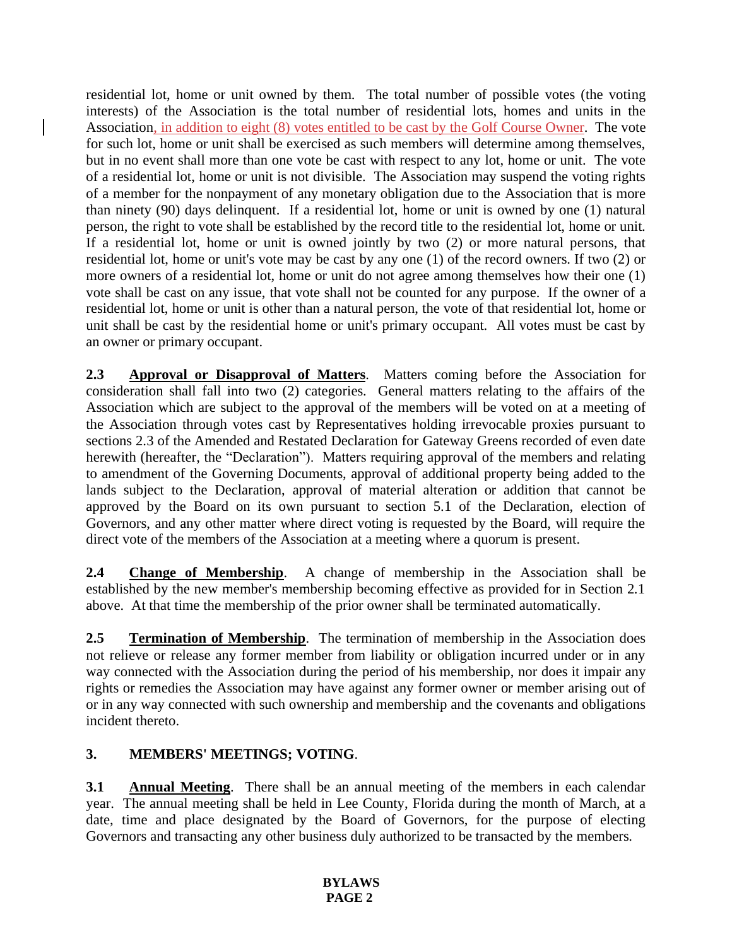residential lot, home or unit owned by them. The total number of possible votes (the voting interests) of the Association is the total number of residential lots, homes and units in the Association, in addition to eight (8) votes entitled to be cast by the Golf Course Owner. The vote for such lot, home or unit shall be exercised as such members will determine among themselves, but in no event shall more than one vote be cast with respect to any lot, home or unit. The vote of a residential lot, home or unit is not divisible. The Association may suspend the voting rights of a member for the nonpayment of any monetary obligation due to the Association that is more than ninety (90) days delinquent. If a residential lot, home or unit is owned by one (1) natural person, the right to vote shall be established by the record title to the residential lot, home or unit. If a residential lot, home or unit is owned jointly by two (2) or more natural persons, that residential lot, home or unit's vote may be cast by any one (1) of the record owners. If two (2) or more owners of a residential lot, home or unit do not agree among themselves how their one (1) vote shall be cast on any issue, that vote shall not be counted for any purpose. If the owner of a residential lot, home or unit is other than a natural person, the vote of that residential lot, home or unit shall be cast by the residential home or unit's primary occupant. All votes must be cast by an owner or primary occupant.

**2.3 Approval or Disapproval of Matters**. Matters coming before the Association for consideration shall fall into two (2) categories. General matters relating to the affairs of the Association which are subject to the approval of the members will be voted on at a meeting of the Association through votes cast by Representatives holding irrevocable proxies pursuant to sections 2.3 of the Amended and Restated Declaration for Gateway Greens recorded of even date herewith (hereafter, the "Declaration"). Matters requiring approval of the members and relating to amendment of the Governing Documents, approval of additional property being added to the lands subject to the Declaration, approval of material alteration or addition that cannot be approved by the Board on its own pursuant to section 5.1 of the Declaration, election of Governors, and any other matter where direct voting is requested by the Board, will require the direct vote of the members of the Association at a meeting where a quorum is present.

**2.4 Change of Membership**. A change of membership in the Association shall be established by the new member's membership becoming effective as provided for in Section 2.1 above. At that time the membership of the prior owner shall be terminated automatically.

2.5 **Termination of Membership**. The termination of membership in the Association does not relieve or release any former member from liability or obligation incurred under or in any way connected with the Association during the period of his membership, nor does it impair any rights or remedies the Association may have against any former owner or member arising out of or in any way connected with such ownership and membership and the covenants and obligations incident thereto.

## **3. MEMBERS' MEETINGS; VOTING**.

**3.1 Annual Meeting**. There shall be an annual meeting of the members in each calendar year. The annual meeting shall be held in Lee County, Florida during the month of March, at a date, time and place designated by the Board of Governors, for the purpose of electing Governors and transacting any other business duly authorized to be transacted by the members.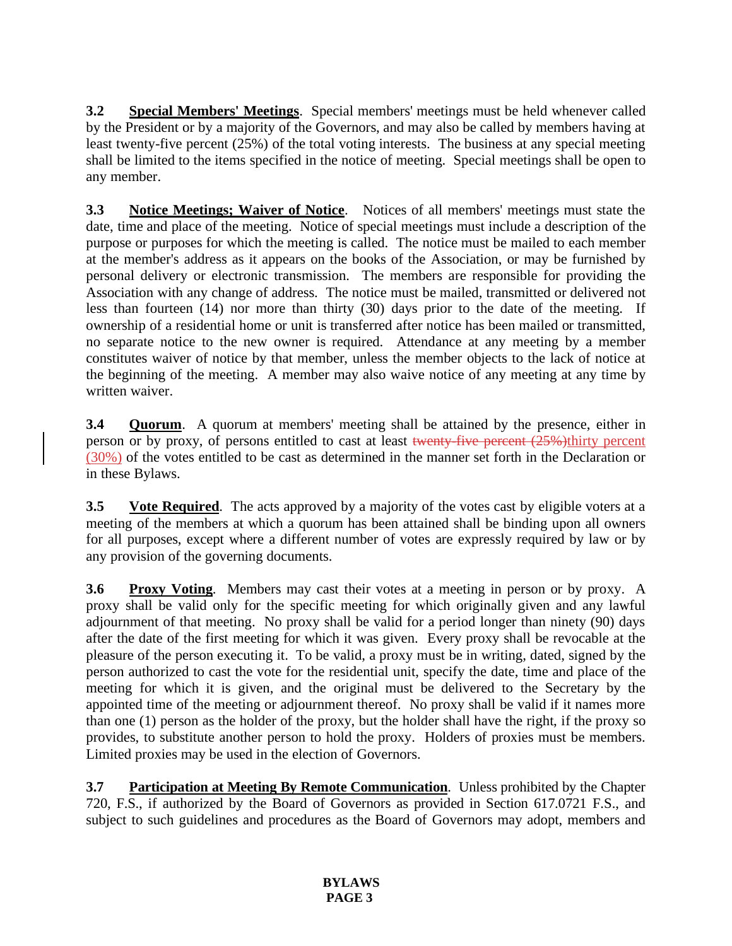**3.2 Special Members' Meetings**. Special members' meetings must be held whenever called by the President or by a majority of the Governors, and may also be called by members having at least twenty-five percent (25%) of the total voting interests. The business at any special meeting shall be limited to the items specified in the notice of meeting. Special meetings shall be open to any member.

**3.3 Notice Meetings; Waiver of Notice**. Notices of all members' meetings must state the date, time and place of the meeting. Notice of special meetings must include a description of the purpose or purposes for which the meeting is called. The notice must be mailed to each member at the member's address as it appears on the books of the Association, or may be furnished by personal delivery or electronic transmission. The members are responsible for providing the Association with any change of address. The notice must be mailed, transmitted or delivered not less than fourteen (14) nor more than thirty (30) days prior to the date of the meeting. If ownership of a residential home or unit is transferred after notice has been mailed or transmitted, no separate notice to the new owner is required. Attendance at any meeting by a member constitutes waiver of notice by that member, unless the member objects to the lack of notice at the beginning of the meeting. A member may also waive notice of any meeting at any time by written waiver.

**3.4 Quorum**. A quorum at members' meeting shall be attained by the presence, either in person or by proxy, of persons entitled to cast at least twenty-five percent (25%)thirty percent (30%) of the votes entitled to be cast as determined in the manner set forth in the Declaration or in these Bylaws.

**3.5 Vote Required**. The acts approved by a majority of the votes cast by eligible voters at a meeting of the members at which a quorum has been attained shall be binding upon all owners for all purposes, except where a different number of votes are expressly required by law or by any provision of the governing documents.

**3.6 Proxy Voting**. Members may cast their votes at a meeting in person or by proxy. A proxy shall be valid only for the specific meeting for which originally given and any lawful adjournment of that meeting. No proxy shall be valid for a period longer than ninety (90) days after the date of the first meeting for which it was given. Every proxy shall be revocable at the pleasure of the person executing it. To be valid, a proxy must be in writing, dated, signed by the person authorized to cast the vote for the residential unit, specify the date, time and place of the meeting for which it is given, and the original must be delivered to the Secretary by the appointed time of the meeting or adjournment thereof. No proxy shall be valid if it names more than one (1) person as the holder of the proxy, but the holder shall have the right, if the proxy so provides, to substitute another person to hold the proxy. Holders of proxies must be members. Limited proxies may be used in the election of Governors.

**3.7 Participation at Meeting By Remote Communication**. Unless prohibited by the Chapter 720, F.S., if authorized by the Board of Governors as provided in Section 617.0721 F.S., and subject to such guidelines and procedures as the Board of Governors may adopt, members and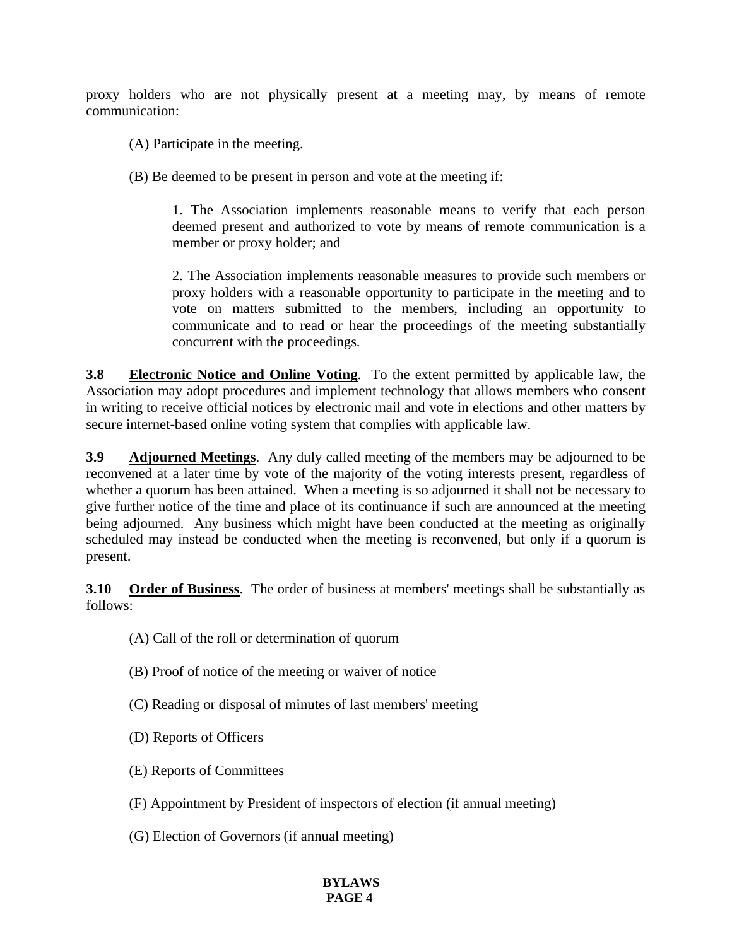proxy holders who are not physically present at a meeting may, by means of remote communication:

(A) Participate in the meeting.

(B) Be deemed to be present in person and vote at the meeting if:

1. The Association implements reasonable means to verify that each person deemed present and authorized to vote by means of remote communication is a member or proxy holder; and

2. The Association implements reasonable measures to provide such members or proxy holders with a reasonable opportunity to participate in the meeting and to vote on matters submitted to the members, including an opportunity to communicate and to read or hear the proceedings of the meeting substantially concurrent with the proceedings.

**3.8 Electronic Notice and Online Voting**. To the extent permitted by applicable law, the Association may adopt procedures and implement technology that allows members who consent in writing to receive official notices by electronic mail and vote in elections and other matters by secure internet-based online voting system that complies with applicable law.

**3.9 Adjourned Meetings**. Any duly called meeting of the members may be adjourned to be reconvened at a later time by vote of the majority of the voting interests present, regardless of whether a quorum has been attained. When a meeting is so adjourned it shall not be necessary to give further notice of the time and place of its continuance if such are announced at the meeting being adjourned. Any business which might have been conducted at the meeting as originally scheduled may instead be conducted when the meeting is reconvened, but only if a quorum is present.

**3.10 Order of Business**. The order of business at members' meetings shall be substantially as follows:

- (A) Call of the roll or determination of quorum
- (B) Proof of notice of the meeting or waiver of notice
- (C) Reading or disposal of minutes of last members' meeting
- (D) Reports of Officers
- (E) Reports of Committees
- (F) Appointment by President of inspectors of election (if annual meeting)
- (G) Election of Governors (if annual meeting)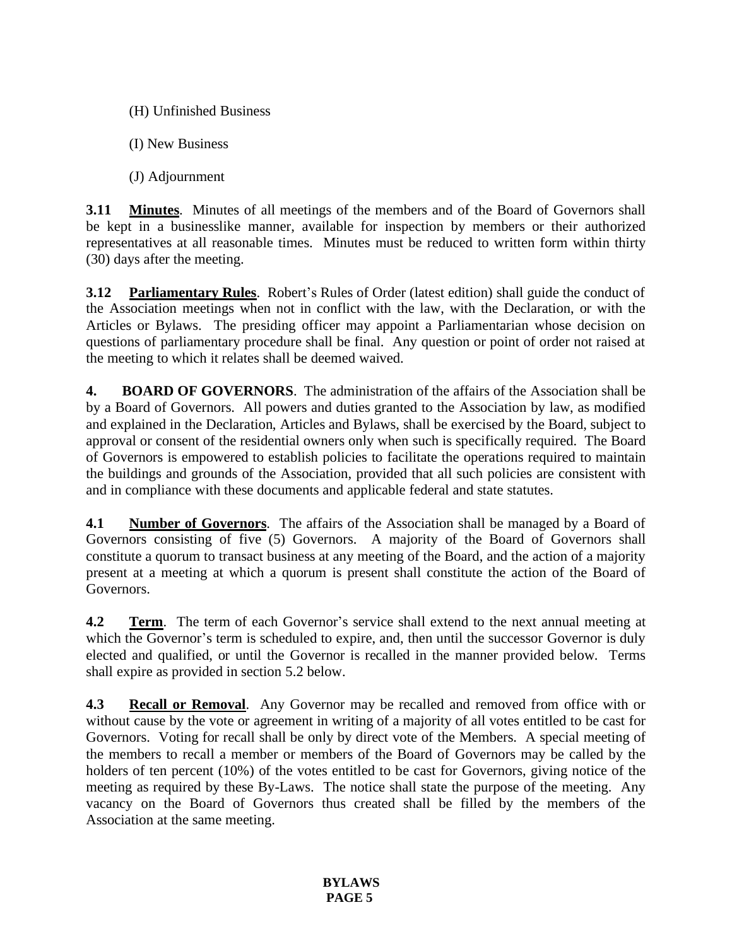- (H) Unfinished Business
- (I) New Business
- (J) Adjournment

**3.11 Minutes**. Minutes of all meetings of the members and of the Board of Governors shall be kept in a businesslike manner, available for inspection by members or their authorized representatives at all reasonable times. Minutes must be reduced to written form within thirty (30) days after the meeting.

**3.12 Parliamentary Rules**. Robert's Rules of Order (latest edition) shall guide the conduct of the Association meetings when not in conflict with the law, with the Declaration, or with the Articles or Bylaws. The presiding officer may appoint a Parliamentarian whose decision on questions of parliamentary procedure shall be final. Any question or point of order not raised at the meeting to which it relates shall be deemed waived.

**4. BOARD OF GOVERNORS**. The administration of the affairs of the Association shall be by a Board of Governors. All powers and duties granted to the Association by law, as modified and explained in the Declaration, Articles and Bylaws, shall be exercised by the Board, subject to approval or consent of the residential owners only when such is specifically required. The Board of Governors is empowered to establish policies to facilitate the operations required to maintain the buildings and grounds of the Association, provided that all such policies are consistent with and in compliance with these documents and applicable federal and state statutes.

**4.1 Number of Governors**. The affairs of the Association shall be managed by a Board of Governors consisting of five (5) Governors. A majority of the Board of Governors shall constitute a quorum to transact business at any meeting of the Board, and the action of a majority present at a meeting at which a quorum is present shall constitute the action of the Board of Governors.

**4.2 Term.** The term of each Governor's service shall extend to the next annual meeting at which the Governor's term is scheduled to expire, and, then until the successor Governor is duly elected and qualified, or until the Governor is recalled in the manner provided below. Terms shall expire as provided in section 5.2 below.

**4.3 Recall or Removal**. Any Governor may be recalled and removed from office with or without cause by the vote or agreement in writing of a majority of all votes entitled to be cast for Governors. Voting for recall shall be only by direct vote of the Members. A special meeting of the members to recall a member or members of the Board of Governors may be called by the holders of ten percent (10%) of the votes entitled to be cast for Governors, giving notice of the meeting as required by these By-Laws. The notice shall state the purpose of the meeting. Any vacancy on the Board of Governors thus created shall be filled by the members of the Association at the same meeting.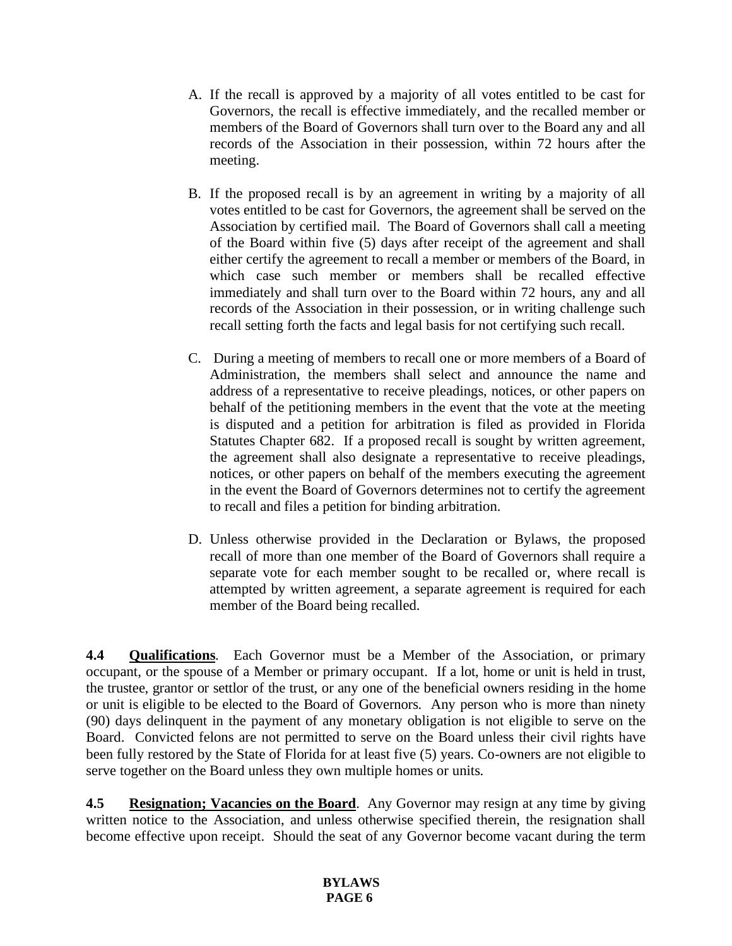- A. If the recall is approved by a majority of all votes entitled to be cast for Governors, the recall is effective immediately, and the recalled member or members of the Board of Governors shall turn over to the Board any and all records of the Association in their possession, within 72 hours after the meeting.
- B. If the proposed recall is by an agreement in writing by a majority of all votes entitled to be cast for Governors, the agreement shall be served on the Association by certified mail. The Board of Governors shall call a meeting of the Board within five (5) days after receipt of the agreement and shall either certify the agreement to recall a member or members of the Board, in which case such member or members shall be recalled effective immediately and shall turn over to the Board within 72 hours, any and all records of the Association in their possession, or in writing challenge such recall setting forth the facts and legal basis for not certifying such recall.
- C. During a meeting of members to recall one or more members of a Board of Administration, the members shall select and announce the name and address of a representative to receive pleadings, notices, or other papers on behalf of the petitioning members in the event that the vote at the meeting is disputed and a petition for arbitration is filed as provided in Florida Statutes Chapter 682. If a proposed recall is sought by written agreement, the agreement shall also designate a representative to receive pleadings, notices, or other papers on behalf of the members executing the agreement in the event the Board of Governors determines not to certify the agreement to recall and files a petition for binding arbitration.
- D. Unless otherwise provided in the Declaration or Bylaws, the proposed recall of more than one member of the Board of Governors shall require a separate vote for each member sought to be recalled or, where recall is attempted by written agreement, a separate agreement is required for each member of the Board being recalled.

**4.4 Qualifications**. Each Governor must be a Member of the Association, or primary occupant, or the spouse of a Member or primary occupant. If a lot, home or unit is held in trust, the trustee, grantor or settlor of the trust, or any one of the beneficial owners residing in the home or unit is eligible to be elected to the Board of Governors. Any person who is more than ninety (90) days delinquent in the payment of any monetary obligation is not eligible to serve on the Board. Convicted felons are not permitted to serve on the Board unless their civil rights have been fully restored by the State of Florida for at least five (5) years. Co-owners are not eligible to serve together on the Board unless they own multiple homes or units.

**4.5 Resignation; Vacancies on the Board**. Any Governor may resign at any time by giving written notice to the Association, and unless otherwise specified therein, the resignation shall become effective upon receipt. Should the seat of any Governor become vacant during the term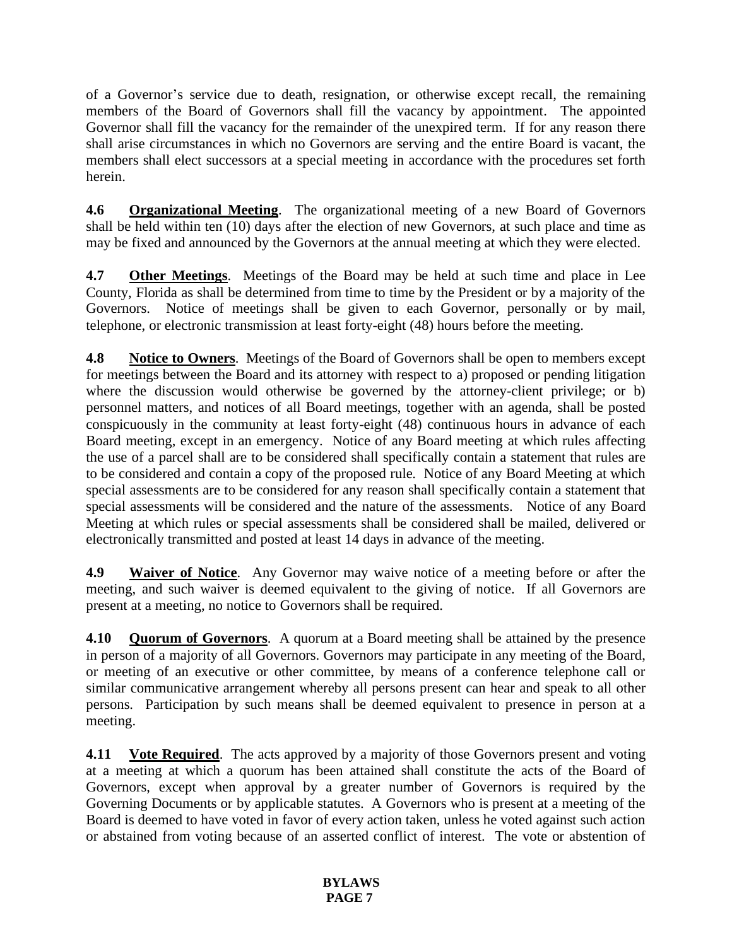of a Governor's service due to death, resignation, or otherwise except recall, the remaining members of the Board of Governors shall fill the vacancy by appointment. The appointed Governor shall fill the vacancy for the remainder of the unexpired term. If for any reason there shall arise circumstances in which no Governors are serving and the entire Board is vacant, the members shall elect successors at a special meeting in accordance with the procedures set forth herein.

**4.6 Organizational Meeting**. The organizational meeting of a new Board of Governors shall be held within ten (10) days after the election of new Governors, at such place and time as may be fixed and announced by the Governors at the annual meeting at which they were elected.

**4.7 Other Meetings**. Meetings of the Board may be held at such time and place in Lee County, Florida as shall be determined from time to time by the President or by a majority of the Governors. Notice of meetings shall be given to each Governor, personally or by mail, telephone, or electronic transmission at least forty-eight (48) hours before the meeting.

**4.8 Notice to Owners**. Meetings of the Board of Governors shall be open to members except for meetings between the Board and its attorney with respect to a) proposed or pending litigation where the discussion would otherwise be governed by the attorney-client privilege; or b) personnel matters, and notices of all Board meetings, together with an agenda, shall be posted conspicuously in the community at least forty-eight (48) continuous hours in advance of each Board meeting, except in an emergency. Notice of any Board meeting at which rules affecting the use of a parcel shall are to be considered shall specifically contain a statement that rules are to be considered and contain a copy of the proposed rule. Notice of any Board Meeting at which special assessments are to be considered for any reason shall specifically contain a statement that special assessments will be considered and the nature of the assessments. Notice of any Board Meeting at which rules or special assessments shall be considered shall be mailed, delivered or electronically transmitted and posted at least 14 days in advance of the meeting.

**4.9 Waiver of Notice**. Any Governor may waive notice of a meeting before or after the meeting, and such waiver is deemed equivalent to the giving of notice. If all Governors are present at a meeting, no notice to Governors shall be required.

**4.10 Quorum of Governors**. A quorum at a Board meeting shall be attained by the presence in person of a majority of all Governors. Governors may participate in any meeting of the Board, or meeting of an executive or other committee, by means of a conference telephone call or similar communicative arrangement whereby all persons present can hear and speak to all other persons. Participation by such means shall be deemed equivalent to presence in person at a meeting.

**4.11 Vote Required**. The acts approved by a majority of those Governors present and voting at a meeting at which a quorum has been attained shall constitute the acts of the Board of Governors, except when approval by a greater number of Governors is required by the Governing Documents or by applicable statutes. A Governors who is present at a meeting of the Board is deemed to have voted in favor of every action taken, unless he voted against such action or abstained from voting because of an asserted conflict of interest. The vote or abstention of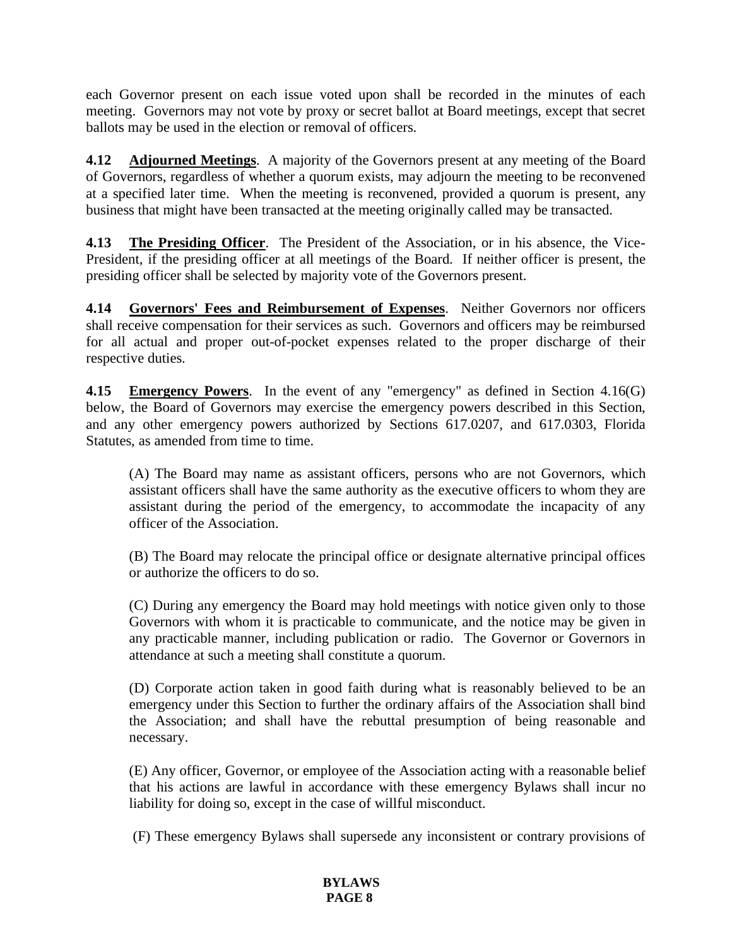each Governor present on each issue voted upon shall be recorded in the minutes of each meeting. Governors may not vote by proxy or secret ballot at Board meetings, except that secret ballots may be used in the election or removal of officers.

**4.12 Adjourned Meetings**. A majority of the Governors present at any meeting of the Board of Governors, regardless of whether a quorum exists, may adjourn the meeting to be reconvened at a specified later time. When the meeting is reconvened, provided a quorum is present, any business that might have been transacted at the meeting originally called may be transacted.

**4.13 The Presiding Officer**. The President of the Association, or in his absence, the Vice-President, if the presiding officer at all meetings of the Board. If neither officer is present, the presiding officer shall be selected by majority vote of the Governors present.

**4.14 Governors' Fees and Reimbursement of Expenses**. Neither Governors nor officers shall receive compensation for their services as such. Governors and officers may be reimbursed for all actual and proper out-of-pocket expenses related to the proper discharge of their respective duties.

**4.15 Emergency Powers**. In the event of any "emergency" as defined in Section 4.16(G) below, the Board of Governors may exercise the emergency powers described in this Section, and any other emergency powers authorized by Sections 617.0207, and 617.0303, Florida Statutes, as amended from time to time.

(A) The Board may name as assistant officers, persons who are not Governors, which assistant officers shall have the same authority as the executive officers to whom they are assistant during the period of the emergency, to accommodate the incapacity of any officer of the Association.

(B) The Board may relocate the principal office or designate alternative principal offices or authorize the officers to do so.

(C) During any emergency the Board may hold meetings with notice given only to those Governors with whom it is practicable to communicate, and the notice may be given in any practicable manner, including publication or radio. The Governor or Governors in attendance at such a meeting shall constitute a quorum.

(D) Corporate action taken in good faith during what is reasonably believed to be an emergency under this Section to further the ordinary affairs of the Association shall bind the Association; and shall have the rebuttal presumption of being reasonable and necessary.

(E) Any officer, Governor, or employee of the Association acting with a reasonable belief that his actions are lawful in accordance with these emergency Bylaws shall incur no liability for doing so, except in the case of willful misconduct.

(F) These emergency Bylaws shall supersede any inconsistent or contrary provisions of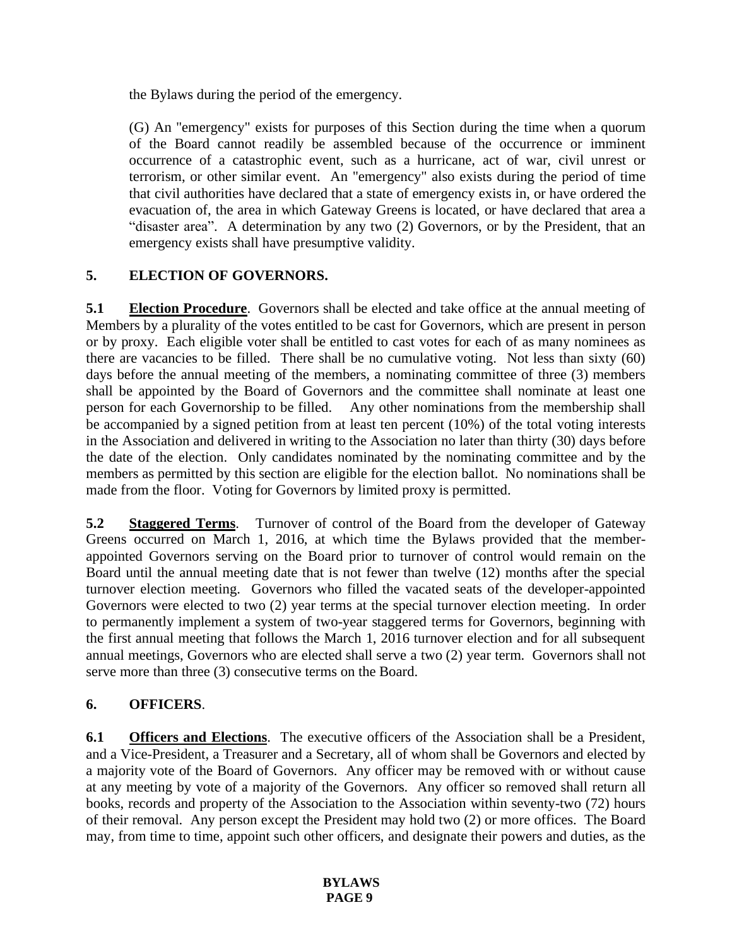the Bylaws during the period of the emergency.

(G) An "emergency" exists for purposes of this Section during the time when a quorum of the Board cannot readily be assembled because of the occurrence or imminent occurrence of a catastrophic event, such as a hurricane, act of war, civil unrest or terrorism, or other similar event. An "emergency" also exists during the period of time that civil authorities have declared that a state of emergency exists in, or have ordered the evacuation of, the area in which Gateway Greens is located, or have declared that area a "disaster area". A determination by any two (2) Governors, or by the President, that an emergency exists shall have presumptive validity.

# **5. ELECTION OF GOVERNORS.**

**5.1 Election Procedure**. Governors shall be elected and take office at the annual meeting of Members by a plurality of the votes entitled to be cast for Governors, which are present in person or by proxy. Each eligible voter shall be entitled to cast votes for each of as many nominees as there are vacancies to be filled. There shall be no cumulative voting. Not less than sixty (60) days before the annual meeting of the members, a nominating committee of three (3) members shall be appointed by the Board of Governors and the committee shall nominate at least one person for each Governorship to be filled. Any other nominations from the membership shall be accompanied by a signed petition from at least ten percent (10%) of the total voting interests in the Association and delivered in writing to the Association no later than thirty (30) days before the date of the election. Only candidates nominated by the nominating committee and by the members as permitted by this section are eligible for the election ballot. No nominations shall be made from the floor. Voting for Governors by limited proxy is permitted.

**5.2 Staggered Terms**. Turnover of control of the Board from the developer of Gateway Greens occurred on March 1, 2016, at which time the Bylaws provided that the memberappointed Governors serving on the Board prior to turnover of control would remain on the Board until the annual meeting date that is not fewer than twelve (12) months after the special turnover election meeting. Governors who filled the vacated seats of the developer-appointed Governors were elected to two (2) year terms at the special turnover election meeting. In order to permanently implement a system of two-year staggered terms for Governors, beginning with the first annual meeting that follows the March 1, 2016 turnover election and for all subsequent annual meetings, Governors who are elected shall serve a two (2) year term. Governors shall not serve more than three (3) consecutive terms on the Board.

## **6. OFFICERS**.

**6.1 Officers and Elections**. The executive officers of the Association shall be a President, and a Vice-President, a Treasurer and a Secretary, all of whom shall be Governors and elected by a majority vote of the Board of Governors. Any officer may be removed with or without cause at any meeting by vote of a majority of the Governors. Any officer so removed shall return all books, records and property of the Association to the Association within seventy-two (72) hours of their removal. Any person except the President may hold two (2) or more offices. The Board may, from time to time, appoint such other officers, and designate their powers and duties, as the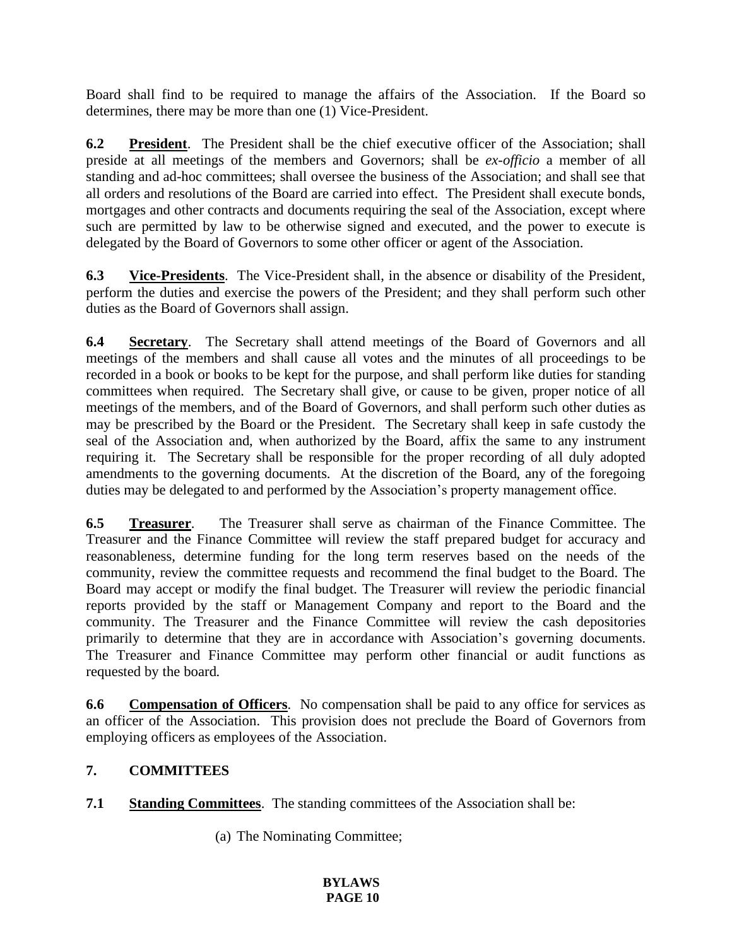Board shall find to be required to manage the affairs of the Association. If the Board so determines, there may be more than one (1) Vice-President.

**6.2 President**. The President shall be the chief executive officer of the Association; shall preside at all meetings of the members and Governors; shall be *ex-officio* a member of all standing and ad-hoc committees; shall oversee the business of the Association; and shall see that all orders and resolutions of the Board are carried into effect. The President shall execute bonds, mortgages and other contracts and documents requiring the seal of the Association, except where such are permitted by law to be otherwise signed and executed, and the power to execute is delegated by the Board of Governors to some other officer or agent of the Association.

**6.3 Vice-Presidents**. The Vice-President shall, in the absence or disability of the President, perform the duties and exercise the powers of the President; and they shall perform such other duties as the Board of Governors shall assign.

**6.4 Secretary**. The Secretary shall attend meetings of the Board of Governors and all meetings of the members and shall cause all votes and the minutes of all proceedings to be recorded in a book or books to be kept for the purpose, and shall perform like duties for standing committees when required. The Secretary shall give, or cause to be given, proper notice of all meetings of the members, and of the Board of Governors, and shall perform such other duties as may be prescribed by the Board or the President. The Secretary shall keep in safe custody the seal of the Association and, when authorized by the Board, affix the same to any instrument requiring it. The Secretary shall be responsible for the proper recording of all duly adopted amendments to the governing documents. At the discretion of the Board, any of the foregoing duties may be delegated to and performed by the Association's property management office.

**6.5 Treasurer**. The Treasurer shall serve as chairman of the Finance Committee. The Treasurer and the Finance Committee will review the staff prepared budget for accuracy and reasonableness, determine funding for the long term reserves based on the needs of the community, review the committee requests and recommend the final budget to the Board. The Board may accept or modify the final budget. The Treasurer will review the periodic financial reports provided by the staff or Management Company and report to the Board and the community. The Treasurer and the Finance Committee will review the cash depositories primarily to determine that they are in accordance with Association's governing documents. The Treasurer and Finance Committee may perform other financial or audit functions as requested by the board.

**6.6 Compensation of Officers**. No compensation shall be paid to any office for services as an officer of the Association. This provision does not preclude the Board of Governors from employing officers as employees of the Association.

### **7. COMMITTEES**

**7.1 Standing Committees**. The standing committees of the Association shall be:

(a) The Nominating Committee;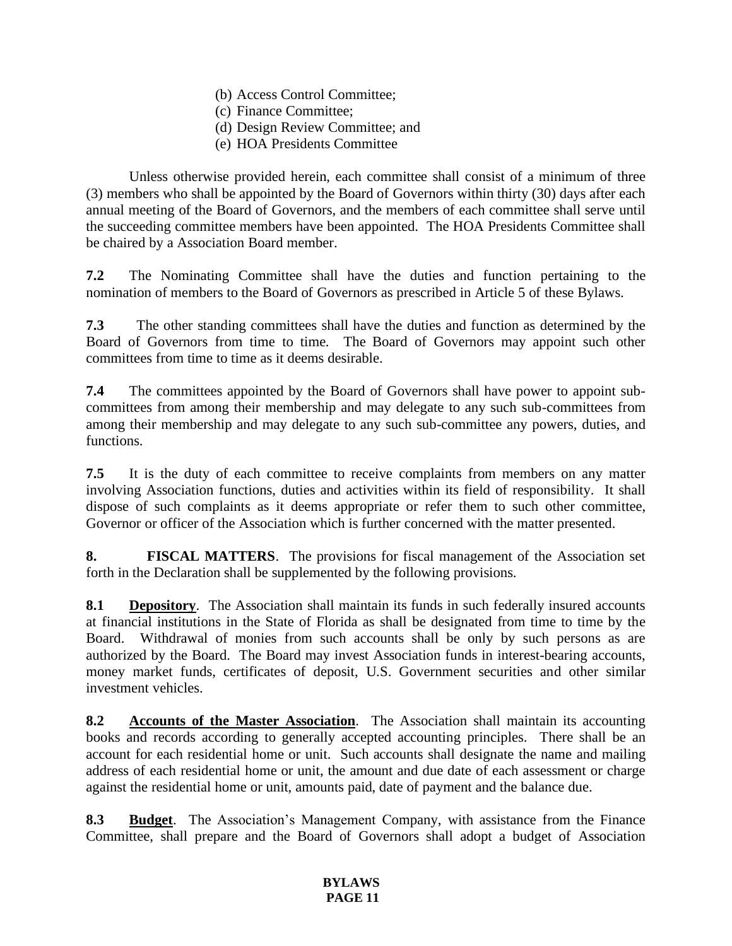- (b) Access Control Committee;
- (c) Finance Committee;
- (d) Design Review Committee; and
- (e) HOA Presidents Committee

Unless otherwise provided herein, each committee shall consist of a minimum of three (3) members who shall be appointed by the Board of Governors within thirty (30) days after each annual meeting of the Board of Governors, and the members of each committee shall serve until the succeeding committee members have been appointed. The HOA Presidents Committee shall be chaired by a Association Board member.

**7.2** The Nominating Committee shall have the duties and function pertaining to the nomination of members to the Board of Governors as prescribed in Article 5 of these Bylaws.

**7.3** The other standing committees shall have the duties and function as determined by the Board of Governors from time to time. The Board of Governors may appoint such other committees from time to time as it deems desirable.

**7.4** The committees appointed by the Board of Governors shall have power to appoint subcommittees from among their membership and may delegate to any such sub-committees from among their membership and may delegate to any such sub-committee any powers, duties, and functions.

**7.5** It is the duty of each committee to receive complaints from members on any matter involving Association functions, duties and activities within its field of responsibility. It shall dispose of such complaints as it deems appropriate or refer them to such other committee, Governor or officer of the Association which is further concerned with the matter presented.

**8. FISCAL MATTERS**. The provisions for fiscal management of the Association set forth in the Declaration shall be supplemented by the following provisions.

**8.1 Depository**. The Association shall maintain its funds in such federally insured accounts at financial institutions in the State of Florida as shall be designated from time to time by the Board. Withdrawal of monies from such accounts shall be only by such persons as are authorized by the Board. The Board may invest Association funds in interest-bearing accounts, money market funds, certificates of deposit, U.S. Government securities and other similar investment vehicles.

**8.2 Accounts of the Master Association**. The Association shall maintain its accounting books and records according to generally accepted accounting principles. There shall be an account for each residential home or unit. Such accounts shall designate the name and mailing address of each residential home or unit, the amount and due date of each assessment or charge against the residential home or unit, amounts paid, date of payment and the balance due.

**8.3 Budget**. The Association's Management Company, with assistance from the Finance Committee, shall prepare and the Board of Governors shall adopt a budget of Association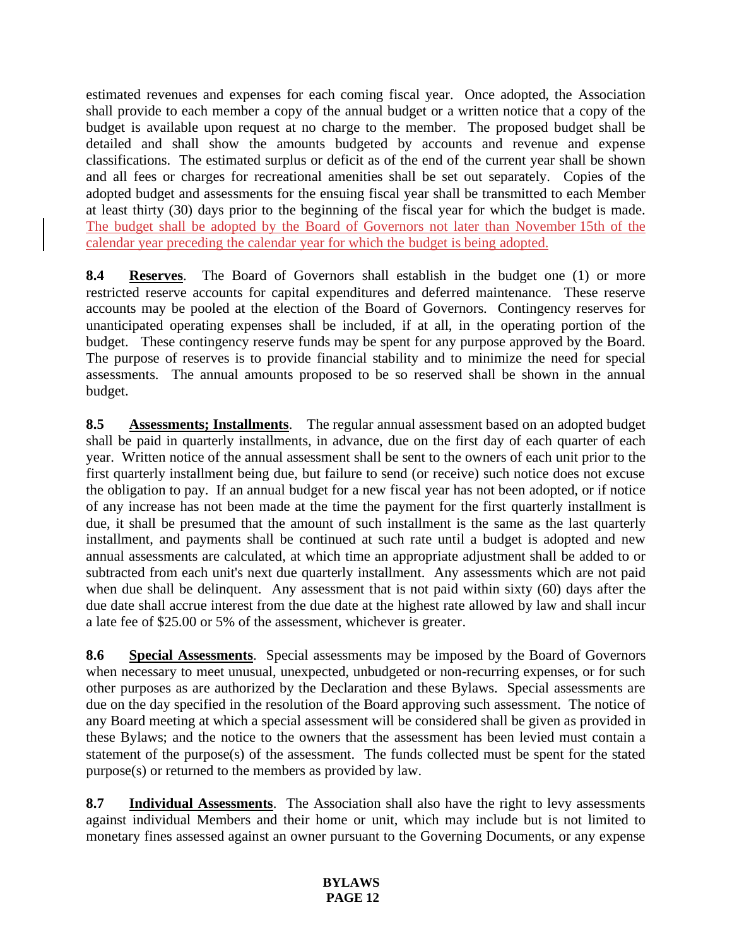estimated revenues and expenses for each coming fiscal year. Once adopted, the Association shall provide to each member a copy of the annual budget or a written notice that a copy of the budget is available upon request at no charge to the member. The proposed budget shall be detailed and shall show the amounts budgeted by accounts and revenue and expense classifications. The estimated surplus or deficit as of the end of the current year shall be shown and all fees or charges for recreational amenities shall be set out separately. Copies of the adopted budget and assessments for the ensuing fiscal year shall be transmitted to each Member at least thirty (30) days prior to the beginning of the fiscal year for which the budget is made. The budget shall be adopted by the Board of Governors not later than November 15th of the calendar year preceding the calendar year for which the budget is being adopted.

**8.4 Reserves**. The Board of Governors shall establish in the budget one (1) or more restricted reserve accounts for capital expenditures and deferred maintenance. These reserve accounts may be pooled at the election of the Board of Governors. Contingency reserves for unanticipated operating expenses shall be included, if at all, in the operating portion of the budget. These contingency reserve funds may be spent for any purpose approved by the Board. The purpose of reserves is to provide financial stability and to minimize the need for special assessments. The annual amounts proposed to be so reserved shall be shown in the annual budget.

**8.5 Assessments; Installments**. The regular annual assessment based on an adopted budget shall be paid in quarterly installments, in advance, due on the first day of each quarter of each year. Written notice of the annual assessment shall be sent to the owners of each unit prior to the first quarterly installment being due, but failure to send (or receive) such notice does not excuse the obligation to pay. If an annual budget for a new fiscal year has not been adopted, or if notice of any increase has not been made at the time the payment for the first quarterly installment is due, it shall be presumed that the amount of such installment is the same as the last quarterly installment, and payments shall be continued at such rate until a budget is adopted and new annual assessments are calculated, at which time an appropriate adjustment shall be added to or subtracted from each unit's next due quarterly installment. Any assessments which are not paid when due shall be delinquent. Any assessment that is not paid within sixty (60) days after the due date shall accrue interest from the due date at the highest rate allowed by law and shall incur a late fee of \$25.00 or 5% of the assessment, whichever is greater.

**8.6 Special Assessments**. Special assessments may be imposed by the Board of Governors when necessary to meet unusual, unexpected, unbudgeted or non-recurring expenses, or for such other purposes as are authorized by the Declaration and these Bylaws. Special assessments are due on the day specified in the resolution of the Board approving such assessment. The notice of any Board meeting at which a special assessment will be considered shall be given as provided in these Bylaws; and the notice to the owners that the assessment has been levied must contain a statement of the purpose(s) of the assessment. The funds collected must be spent for the stated purpose(s) or returned to the members as provided by law.

**8.7 Individual Assessments**. The Association shall also have the right to levy assessments against individual Members and their home or unit, which may include but is not limited to monetary fines assessed against an owner pursuant to the Governing Documents, or any expense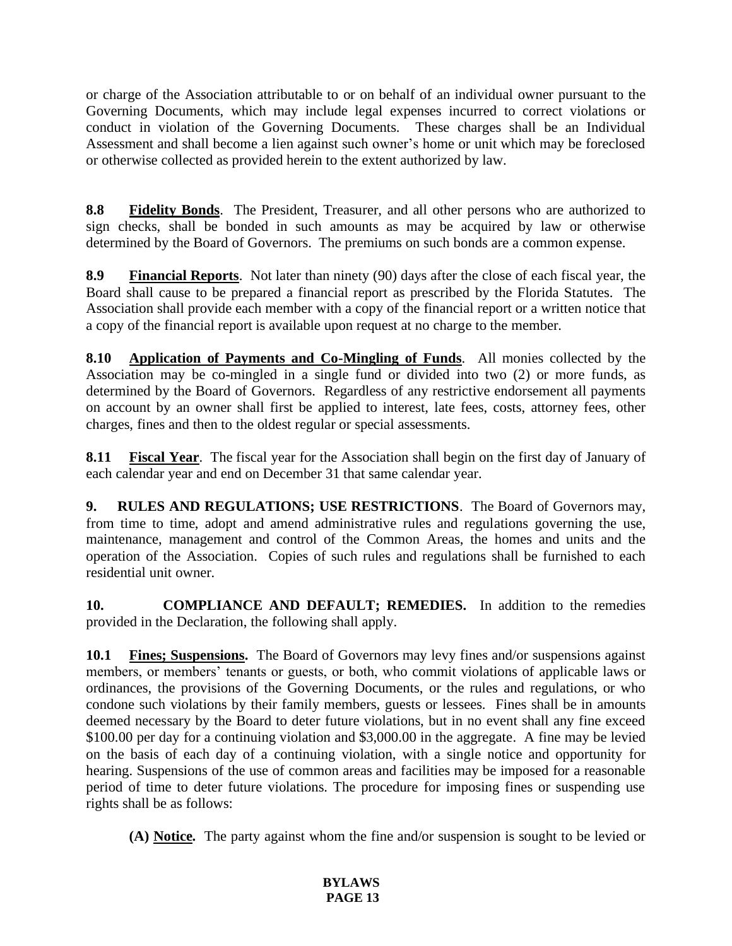or charge of the Association attributable to or on behalf of an individual owner pursuant to the Governing Documents, which may include legal expenses incurred to correct violations or conduct in violation of the Governing Documents. These charges shall be an Individual Assessment and shall become a lien against such owner's home or unit which may be foreclosed or otherwise collected as provided herein to the extent authorized by law.

**8.8 Fidelity Bonds**. The President, Treasurer, and all other persons who are authorized to sign checks, shall be bonded in such amounts as may be acquired by law or otherwise determined by the Board of Governors. The premiums on such bonds are a common expense.

**8.9 Financial Reports**. Not later than ninety (90) days after the close of each fiscal year, the Board shall cause to be prepared a financial report as prescribed by the Florida Statutes. The Association shall provide each member with a copy of the financial report or a written notice that a copy of the financial report is available upon request at no charge to the member.

**8.10 Application of Payments and Co-Mingling of Funds**. All monies collected by the Association may be co-mingled in a single fund or divided into two (2) or more funds, as determined by the Board of Governors. Regardless of any restrictive endorsement all payments on account by an owner shall first be applied to interest, late fees, costs, attorney fees, other charges, fines and then to the oldest regular or special assessments.

**8.11 Fiscal Year**. The fiscal year for the Association shall begin on the first day of January of each calendar year and end on December 31 that same calendar year.

**9. RULES AND REGULATIONS; USE RESTRICTIONS**. The Board of Governors may, from time to time, adopt and amend administrative rules and regulations governing the use, maintenance, management and control of the Common Areas, the homes and units and the operation of the Association. Copies of such rules and regulations shall be furnished to each residential unit owner.

**10. COMPLIANCE AND DEFAULT; REMEDIES.** In addition to the remedies provided in the Declaration, the following shall apply.

**10.1 Fines; Suspensions.** The Board of Governors may levy fines and/or suspensions against members, or members' tenants or guests, or both, who commit violations of applicable laws or ordinances, the provisions of the Governing Documents, or the rules and regulations, or who condone such violations by their family members, guests or lessees. Fines shall be in amounts deemed necessary by the Board to deter future violations, but in no event shall any fine exceed \$100.00 per day for a continuing violation and \$3,000.00 in the aggregate. A fine may be levied on the basis of each day of a continuing violation, with a single notice and opportunity for hearing. Suspensions of the use of common areas and facilities may be imposed for a reasonable period of time to deter future violations. The procedure for imposing fines or suspending use rights shall be as follows:

**(A) Notice.** The party against whom the fine and/or suspension is sought to be levied or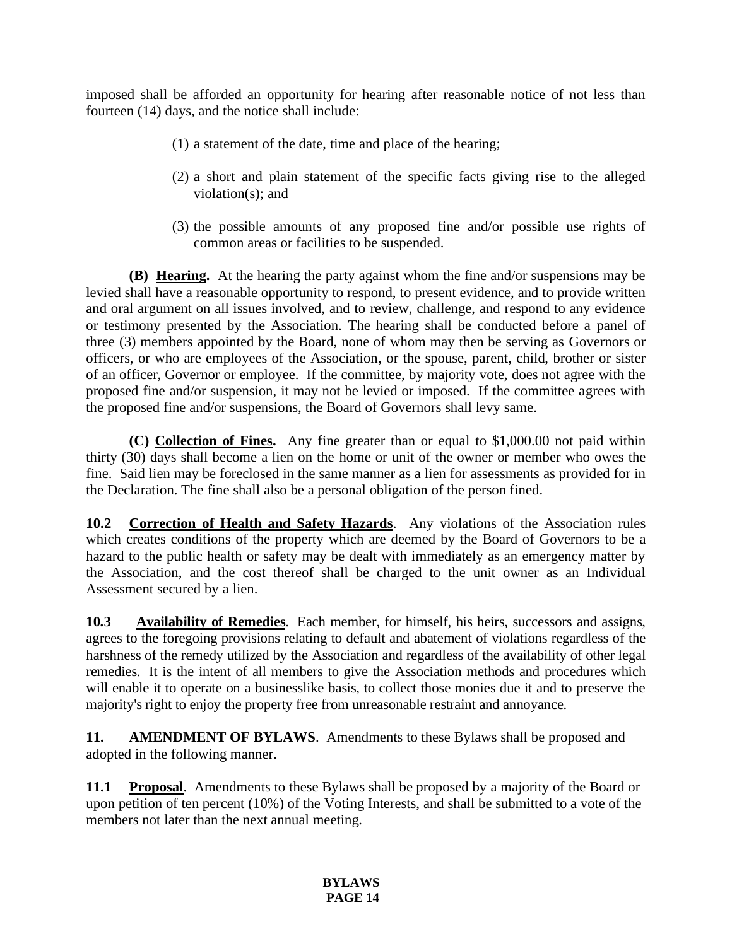imposed shall be afforded an opportunity for hearing after reasonable notice of not less than fourteen (14) days, and the notice shall include:

- (1) a statement of the date, time and place of the hearing;
- (2) a short and plain statement of the specific facts giving rise to the alleged violation(s); and
- (3) the possible amounts of any proposed fine and/or possible use rights of common areas or facilities to be suspended.

**(B) Hearing.** At the hearing the party against whom the fine and/or suspensions may be levied shall have a reasonable opportunity to respond, to present evidence, and to provide written and oral argument on all issues involved, and to review, challenge, and respond to any evidence or testimony presented by the Association. The hearing shall be conducted before a panel of three (3) members appointed by the Board, none of whom may then be serving as Governors or officers, or who are employees of the Association, or the spouse, parent, child, brother or sister of an officer, Governor or employee. If the committee, by majority vote, does not agree with the proposed fine and/or suspension, it may not be levied or imposed. If the committee agrees with the proposed fine and/or suspensions, the Board of Governors shall levy same.

**(C) Collection of Fines.** Any fine greater than or equal to \$1,000.00 not paid within thirty (30) days shall become a lien on the home or unit of the owner or member who owes the fine. Said lien may be foreclosed in the same manner as a lien for assessments as provided for in the Declaration. The fine shall also be a personal obligation of the person fined.

**10.2 Correction of Health and Safety Hazards**. Any violations of the Association rules which creates conditions of the property which are deemed by the Board of Governors to be a hazard to the public health or safety may be dealt with immediately as an emergency matter by the Association, and the cost thereof shall be charged to the unit owner as an Individual Assessment secured by a lien.

**10.3 Availability of Remedies**. Each member, for himself, his heirs, successors and assigns, agrees to the foregoing provisions relating to default and abatement of violations regardless of the harshness of the remedy utilized by the Association and regardless of the availability of other legal remedies. It is the intent of all members to give the Association methods and procedures which will enable it to operate on a businesslike basis, to collect those monies due it and to preserve the majority's right to enjoy the property free from unreasonable restraint and annoyance.

**11. AMENDMENT OF BYLAWS**. Amendments to these Bylaws shall be proposed and adopted in the following manner.

**11.1 Proposal**. Amendments to these Bylaws shall be proposed by a majority of the Board or upon petition of ten percent (10%) of the Voting Interests, and shall be submitted to a vote of the members not later than the next annual meeting.